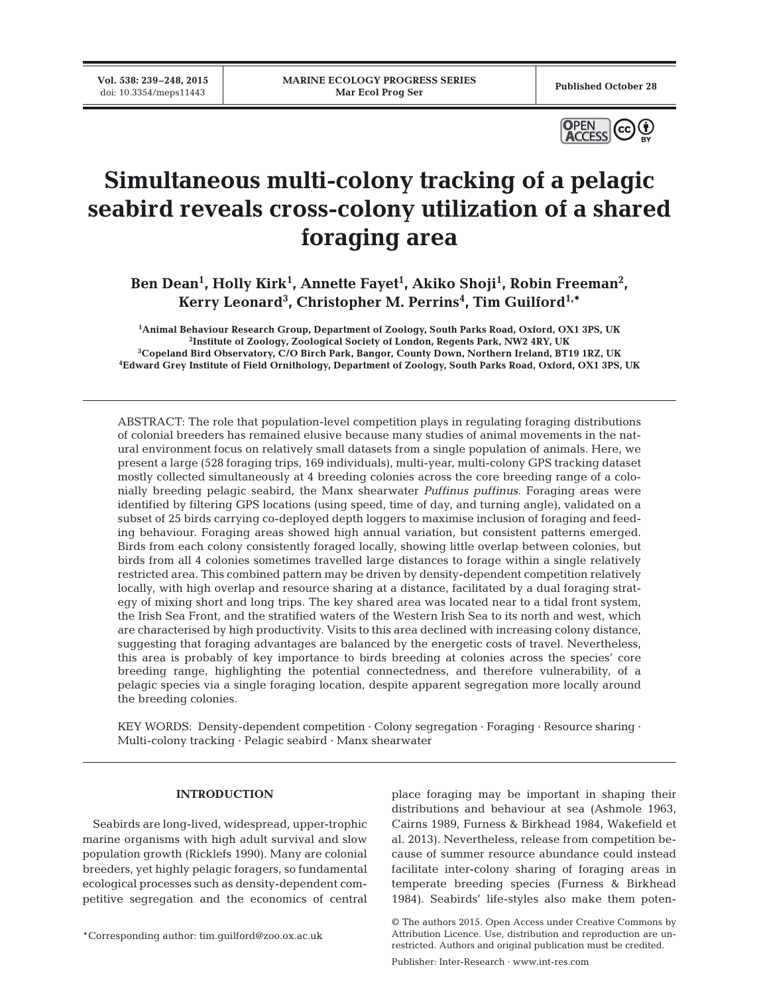**Vol. 538: 239–248, 2015**



# **Simultaneous multi-colony tracking of a pelagic seabird reveals cross-colony utilization of a shared foraging area**

Ben Dean<sup>1</sup>, Holly Kirk<sup>1</sup>, Annette Fayet<sup>1</sup>, Akiko Shoji<sup>1</sup>, Robin Freeman<sup>2</sup>, **Kerry Leonard3 , Christopher M. Perrins4 , Tim Guilford1,\***

 **Animal Behaviour Research Group, Department of Zoology, South Parks Road, Oxford, OX1 3PS, UK Institute of Zoology, Zoological Society of London, Regents Park, NW2 4RY, UK Copeland Bird Observatory, C/O Birch Park, Bangor, County Down, Northern Ireland, BT19 1RZ, UK Edward Grey Institute of Field Ornithology, Department of Zoology, South Parks Road, Oxford, OX1 3PS, UK**

ABSTRACT: The role that population-level competition plays in regulating foraging distributions of colonial breeders has remained elusive because many studies of animal movements in the natural environment focus on relatively small datasets from a single population of animals. Here, we present a large (528 foraging trips, 169 individuals), multi-year, multi-colony GPS tracking dataset mostly collected simultaneously at 4 breeding colonies across the core breeding range of a colonially breeding pelagic seabird, the Manx shearwater *Puffinus puffinus*. Foraging areas were identified by filtering GPS locations (using speed, time of day, and turning angle), validated on a subset of 25 birds carrying co-deployed depth loggers to maximise inclusion of foraging and feeding behaviour. Foraging areas showed high annual variation, but consistent patterns emerged. Birds from each colony consistently foraged locally, showing little overlap between colonies, but birds from all 4 colonies sometimes travelled large distances to forage within a single relatively restricted area. This combined pattern may be driven by density-dependent competition relatively locally, with high overlap and resource sharing at a distance, facilitated by a dual foraging strategy of mixing short and long trips. The key shared area was located near to a tidal front system, the Irish Sea Front, and the stratified waters of the Western Irish Sea to its north and west, which are characterised by high productivity. Visits to this area declined with increasing colony distance, suggesting that foraging advantages are balanced by the energetic costs of travel. Nevertheless, this area is probably of key importance to birds breeding at colonies across the species' core breeding range, highlighting the potential connectedness, and therefore vulnerability, of a pelagic species via a single foraging location, despite apparent segregation more locally around the breeding colonies.

KEY WORDS: Density-dependent competition · Colony segregation · Foraging · Resource sharing · Multi-colony tracking · Pelagic seabird · Manx shearwater

# **INTRODUCTION**

Seabirds are long-lived, widespread, upper-trophic marine organisms with high adult survival and slow population growth (Ricklefs 1990). Many are colonial breeders, yet highly pelagic foragers, so fundamental ecological processes such as density-dependent competitive segregation and the economics of central

\*Corresponding author: tim.guilford@zoo.ox.ac.uk

place foraging may be important in shaping their distributions and behaviour at sea (Ashmole 1963, Cairns 1989, Furness & Birkhead 1984, Wakefield et al. 2013). Nevertheless, release from competition be cause of summer resource abundance could instead facilitate inter-colony sharing of foraging areas in temperate breeding species (Furness & Birkhead 1984). Seabirds' life-styles also make them poten-

<sup>©</sup> The authors 2015. Open Access under Creative Commons by Attribution Licence. Use, distribution and reproduction are unrestricted. Authors and original publication must be credited.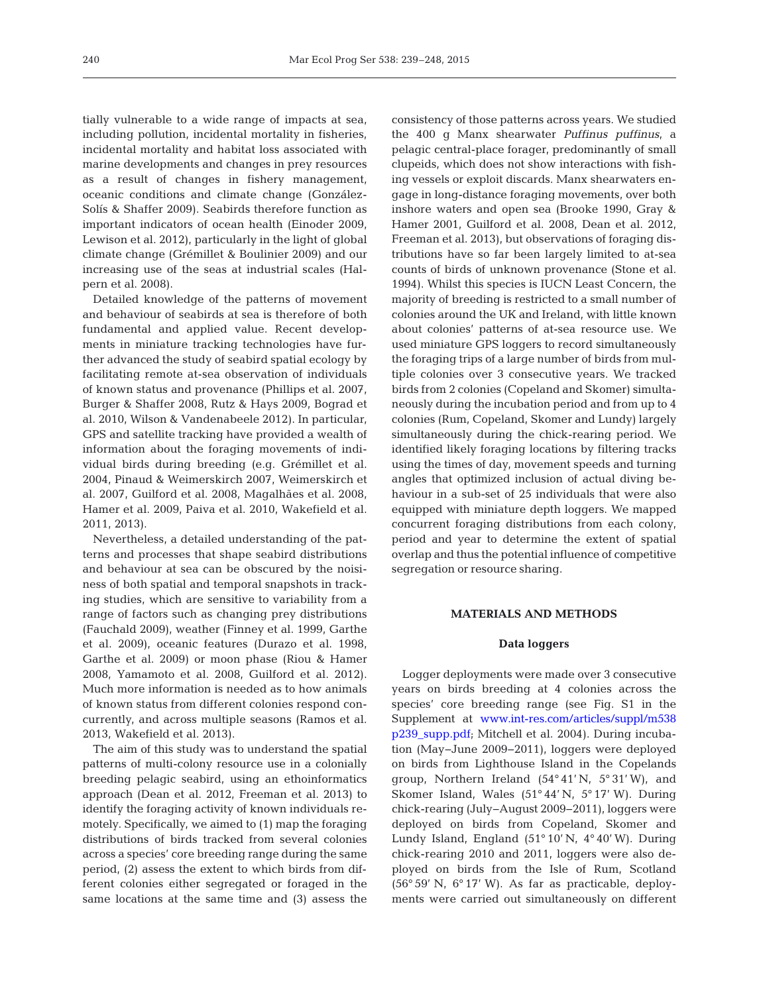tially vulnerable to a wide range of impacts at sea, including pollution, incidental mortality in fisheries, incidental mortality and habitat loss associated with marine developments and changes in prey resources as a result of changes in fishery management, oceanic conditions and climate change (González-Solís & Shaffer 2009). Seabirds therefore function as important indicators of ocean health (Einoder 2009, Lewison et al. 2012), particularly in the light of global climate change (Grémillet & Boulinier 2009) and our increasing use of the seas at industrial scales (Halpern et al. 2008).

Detailed knowledge of the patterns of movement and behaviour of seabirds at sea is therefore of both fundamental and applied value. Recent developments in miniature tracking technologies have further advanced the study of seabird spatial ecology by facilitating remote at-sea observation of individuals of known status and provenance (Phillips et al. 2007, Burger & Shaffer 2008, Rutz & Hays 2009, Bograd et al. 2010, Wilson & Vandenabeele 2012). In particular, GPS and satellite tracking have provided a wealth of information about the foraging movements of individual birds during breeding (e.g. Grémillet et al. 2004, Pinaud & Weimerskirch 2007, Weimerskirch et al. 2007, Guilford et al. 2008, Magalhães et al. 2008, Hamer et al. 2009, Paiva et al. 2010, Wakefield et al. 2011, 2013).

Nevertheless, a detailed understanding of the patterns and processes that shape seabird distributions and behaviour at sea can be obscured by the noisiness of both spatial and temporal snapshots in tracking studies, which are sensitive to variability from a range of factors such as changing prey distributions (Fauchald 2009), weather (Finney et al. 1999, Garthe et al. 2009), oceanic features (Durazo et al. 1998, Garthe et al. 2009) or moon phase (Riou & Hamer 2008, Yamamoto et al. 2008, Guilford et al. 2012). Much more information is needed as to how animals of known status from different colonies respond concurrently, and across multiple seasons (Ramos et al. 2013, Wakefield et al. 2013).

The aim of this study was to understand the spatial patterns of multi-colony resource use in a colonially breeding pelagic seabird, using an ethoinformatics approach (Dean et al. 2012, Freeman et al. 2013) to identify the foraging activity of known individuals remotely. Specifically, we aimed to (1) map the foraging distributions of birds tracked from several colonies across a species' core breeding range during the same period, (2) assess the extent to which birds from different colonies either segregated or foraged in the same locations at the same time and (3) assess the

consistency of those patterns across years. We studied the 400 g Manx shearwater *Puffinus puffinus*, a pelagic central-place forager, predominantly of small clupeids, which does not show interactions with fishing vessels or exploit discards. Manx shearwaters engage in long-distance foraging movements, over both inshore waters and open sea (Brooke 1990, Gray & Hamer 2001, Guilford et al. 2008, Dean et al. 2012, Freeman et al. 2013), but observations of foraging distributions have so far been largely limited to at-sea counts of birds of unknown provenance (Stone et al. 1994). Whilst this species is IUCN Least Concern, the majority of breeding is restricted to a small number of colonies around the UK and Ireland, with little known about colonies' patterns of at-sea resource use. We used miniature GPS loggers to record simultaneously the foraging trips of a large number of birds from multiple colonies over 3 consecutive years. We tracked birds from 2 colonies (Copeland and Skomer) simultaneously during the incubation period and from up to 4 colonies (Rum, Copeland, Skomer and Lundy) largely simultaneously during the chick-rearing period. We identified likely foraging locations by filtering tracks using the times of day, movement speeds and turning angles that optimized inclusion of actual diving behaviour in a sub-set of 25 individuals that were also equipped with miniature depth loggers. We mapped concurrent foraging distributions from each colony, period and year to determine the extent of spatial overlap and thus the potential influence of competitive segregation or resource sharing.

## **MATERIALS AND METHODS**

#### **Data loggers**

Logger deployments were made over 3 consecutive years on birds breeding at 4 colonies across the species' core breeding range (see Fig. S1 in the Supplement at www.int-res.com/articles/suppl/m538 [p239\\_ supp. pdf; M](http://www.int-res.com/articles/suppl/m538p239_supp.pdf)itchell et al. 2004). During incubation (May−June 2009−2011), loggers were deployed on birds from Lighthouse Island in the Copelands group, Northern Ireland (54° 41' N, 5° 31' W), and Skomer Island, Wales (51° 44' N, 5° 17' W). During chick-rearing (July−August 2009−2011), loggers were deployed on birds from Copeland, Skomer and Lundy Island, England (51° 10' N, 4° 40' W). During chick-rearing 2010 and 2011, loggers were also deployed on birds from the Isle of Rum, Scotland (56° 59' N, 6° 17' W). As far as practicable, deployments were carried out simultaneously on different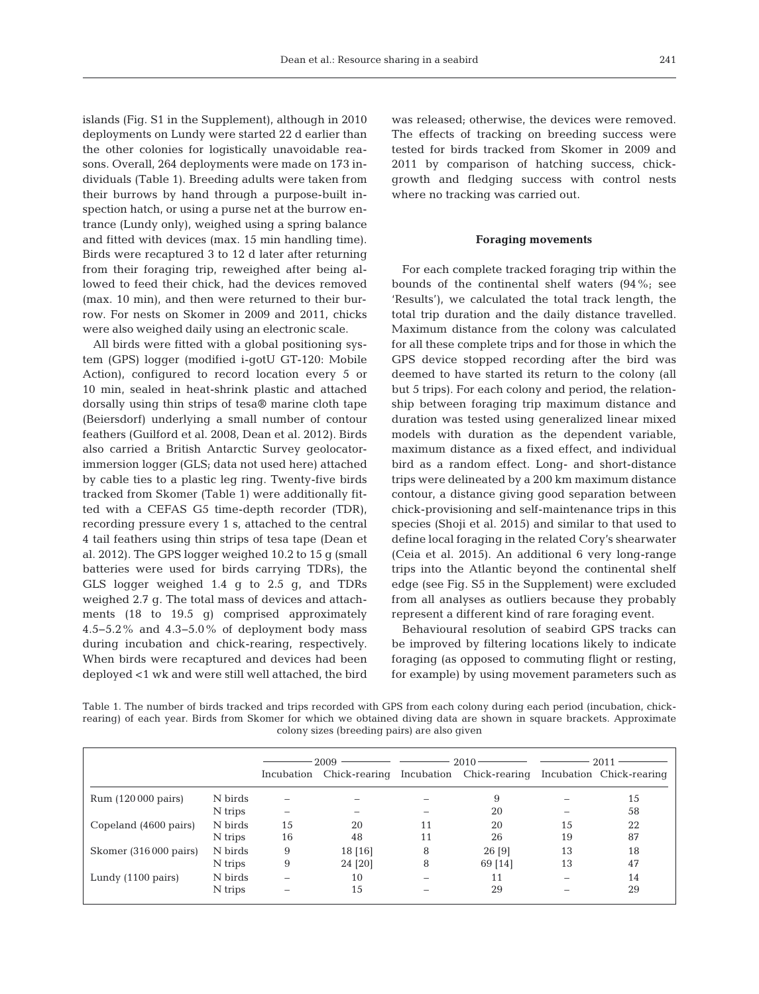islands (Fig. S1 in the Supplement), although in 2010 deployments on Lundy were started 22 d earlier than the other colonies for logistically unavoidable reasons. Overall, 264 deployments were made on 173 individuals (Table 1). Breeding adults were taken from their burrows by hand through a purpose-built inspection hatch, or using a purse net at the burrow entrance (Lundy only), weighed using a spring balance and fitted with devices (max. 15 min handling time). Birds were recaptured 3 to 12 d later after returning from their foraging trip, reweighed after being allowed to feed their chick, had the devices removed (max. 10 min), and then were returned to their burrow. For nests on Skomer in 2009 and 2011, chicks were also weighed daily using an electronic scale.

All birds were fitted with a global positioning system (GPS) logger (modified i-gotU GT-120: Mobile Action), configured to record location every 5 or 10 min, sealed in heat-shrink plastic and attached dorsally using thin strips of tesa® marine cloth tape (Beiersdorf) underlying a small number of contour feathers (Guilford et al. 2008, Dean et al. 2012). Birds also carried a British Antarctic Survey geolocatorimmersion logger (GLS; data not used here) attached by cable ties to a plastic leg ring. Twenty-five birds tracked from Skomer (Table 1) were additionally fitted with a CEFAS G5 time-depth recorder (TDR), recording pressure every 1 s, attached to the central 4 tail feathers using thin strips of tesa tape (Dean et al. 2012). The GPS logger weighed 10.2 to 15 g (small batteries were used for birds carrying TDRs), the GLS logger weighed 1.4 g to 2.5 g, and TDRs weighed 2.7 g. The total mass of devices and attachments (18 to 19.5 g) comprised approximately 4.5−5.2% and 4.3−5.0% of deployment body mass during incubation and chick-rearing, respectively. When birds were recaptured and devices had been deployed <1 wk and were still well attached, the bird

was released; otherwise, the devices were removed. The effects of tracking on breeding success were tested for birds tracked from Skomer in 2009 and 2011 by comparison of hatching success, chickgrowth and fledging success with control nests where no tracking was carried out.

## **Foraging movements**

For each complete tracked foraging trip within the bounds of the continental shelf waters (94%; see 'Results'), we calculated the total track length, the total trip duration and the daily distance travelled. Maximum distance from the colony was calculated for all these complete trips and for those in which the GPS device stopped recording after the bird was deemed to have started its return to the colony (all but 5 trips). For each colony and period, the relationship between foraging trip maximum distance and duration was tested using generalized linear mixed models with duration as the dependent variable, maximum distance as a fixed effect, and individual bird as a random effect. Long- and short-distance trips were delineated by a 200 km maximum distance contour, a distance giving good separation between chick- provisioning and self-maintenance trips in this species (Shoji et al. 2015) and similar to that used to define local foraging in the related Cory's shearwater (Ceia et al. 2015). An additional 6 very long-range trips into the Atlantic beyond the continental shelf edge (see Fig. S5 in the Supplement) were excluded from all analyses as outliers because they probably represent a different kind of rare foraging event.

Behavioural resolution of seabird GPS tracks can be improved by filtering locations likely to indicate foraging (as opposed to commuting flight or resting, for example) by using movement parameters such as

Table 1. The number of birds tracked and trips recorded with GPS from each colony during each period (incubation, chickrearing) of each year. Birds from Skomer for which we obtained diving data are shown in square brackets. Approximate colony sizes (breeding pairs) are also given

|                              |         | 2009       |               |    | $2010 -$                 | 2011 |                          |  |
|------------------------------|---------|------------|---------------|----|--------------------------|------|--------------------------|--|
|                              |         | Incubation | Chick-rearing |    | Incubation Chick-rearing |      | Incubation Chick-rearing |  |
| Rum (120 000 pairs)          | N birds |            |               |    | 9                        |      | 15                       |  |
|                              | N trips |            |               |    | 20                       |      | 58                       |  |
| Copeland (4600 pairs)        | N birds | 15         | 20            | 11 | 20                       | 15   | 22                       |  |
|                              | N trips | 16         | 48            | 11 | 26                       | 19   | 87                       |  |
| Skomer (316 000 pairs)       | N birds | 9          | 18 [16]       | 8  | 26 [9]                   | 13   | 18                       |  |
|                              | N trips | 9          | 24 [20]       | 8  | 69 [14]                  | 13   | 47                       |  |
| Lundy $(1100 \text{ pairs})$ | N birds |            | 10            |    | 11                       |      | 14                       |  |
|                              | N trips |            | 15            |    | 29                       |      | 29                       |  |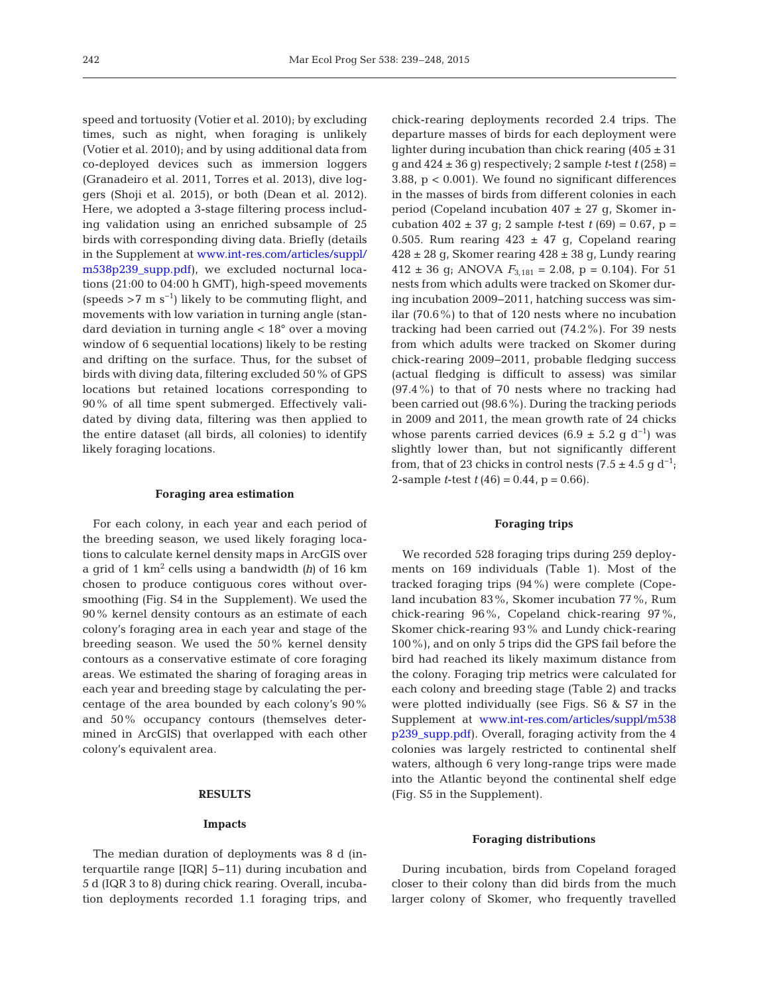speed and tortuosity (Votier et al. 2010); by excluding times, such as night, when foraging is unlikely (Votier et al. 2010); and by using additional data from co-deployed devices such as immersion loggers (Granadeiro et al. 2011, Torres et al. 2013), dive loggers (Shoji et al. 2015), or both (Dean et al. 2012). Here, we adopted a 3-stage filtering process including validation using an enriched subsample of 25 birds with corresponding diving data. Briefly (details in the Supplement at www.int-res.com/articles/suppl/ [m538p239\\_supp.pdf\),](http://www.int-res.com/articles/suppl/m538p239_supp.pdf) we excluded nocturnal locations (21:00 to 04:00 h GMT), high-speed movements (speeds >7 m s<sup>-1</sup>) likely to be commuting flight, and movements with low variation in turning angle (standard deviation in turning angle < 18° over a moving window of 6 sequential locations) likely to be resting and drifting on the surface. Thus, for the subset of birds with diving data, filtering excluded 50% of GPS locations but retained locations corresponding to 90% of all time spent submerged. Effectively validated by diving data, filtering was then applied to the entire dataset (all birds, all colonies) to identify likely foraging locations.

#### **Foraging area estimation**

For each colony, in each year and each period of the breeding season, we used likely foraging locations to calculate kernel density maps in ArcGIS over a grid of 1 km2 cells using a bandwidth *(h)* of 16 km chosen to produce contiguous cores without oversmoothing (Fig. S4 in the Supplement). We used the 90% kernel density contours as an estimate of each colony's foraging area in each year and stage of the breeding season. We used the 50% kernel density contours as a conservative estimate of core foraging areas. We estimated the sharing of foraging areas in each year and breeding stage by calculating the percentage of the area bounded by each colony's 90% and 50% occupancy contours (themselves determined in ArcGIS) that overlapped with each other colony's equivalent area.

# **RESULTS**

## **Impacts**

The median duration of deployments was 8 d (interquartile range [IQR] 5−11) during incubation and 5 d (IQR 3 to 8) during chick rearing. Overall, incubation deployments recorded 1.1 foraging trips, and chick-rearing deployments recorded 2.4 trips. The departure masses of birds for each deployment were lighter during incubation than chick rearing  $(405 \pm 31)$ g and  $424 \pm 36$  g) respectively; 2 sample *t*-test  $t(258) =$ 3.88, p < 0.001). We found no significant differences in the masses of birds from different colonies in each period (Copeland incubation  $407 \pm 27$  g, Skomer incubation  $402 \pm 37$  g; 2 sample *t*-test  $t(69) = 0.67$ , p = 0.505. Rum rearing  $423 \pm 47$  g, Copeland rearing  $428 \pm 28$  g, Skomer rearing  $428 \pm 38$  g, Lundy rearing 412 ± 36 g; ANOVA  $F_{3,181} = 2.08$ , p = 0.104). For 51 nests from which adults were tracked on Skomer during incubation 2009−2011, hatching success was similar (70.6%) to that of 120 nests where no incubation tracking had been carried out (74.2%). For 39 nests from which adults were tracked on Skomer during chick-rearing 2009−2011, probable fledging success (actual fledging is difficult to assess) was similar (97.4%) to that of 70 nests where no tracking had been carried out (98.6%). During the tracking periods in 2009 and 2011, the mean growth rate of 24 chicks whose parents carried devices (6.9  $\pm$  5.2 g d<sup>-1</sup>) was slightly lower than, but not significantly different from, that of 23 chicks in control nests  $(7.5 \pm 4.5 \text{ g d}^{-1})$ ; 2-sample *t*-test  $t(46) = 0.44$ ,  $p = 0.66$ .

#### **Foraging trips**

We recorded 528 foraging trips during 259 deployments on 169 individuals (Table 1). Most of the tracked foraging trips  $(94\%)$  were complete (Copeland incubation 83%, Skomer incubation 77%, Rum chick-rearing 96%, Copeland chick-rearing 97%, Skomer chick-rearing 93% and Lundy chick-rearing 100%), and on only 5 trips did the GPS fail before the bird had reached its likely maximum distance from the colony. Foraging trip metrics were calculated for each colony and breeding stage (Table 2) and tracks were plotted individually (see Figs. S6 & S7 in the Supplement at www.int-res.com/articles/suppl/m538 [p239\\_supp.pdf\). O](http://www.int-res.com/articles/suppl/m538p239_supp.pdf)verall, foraging activity from the 4 colonies was largely restricted to continental shelf waters, although 6 very long-range trips were made into the Atlantic beyond the continental shelf edge (Fig. S5 in the Supplement).

#### **Foraging distributions**

During incubation, birds from Copeland foraged closer to their colony than did birds from the much larger colony of Skomer, who frequently travelled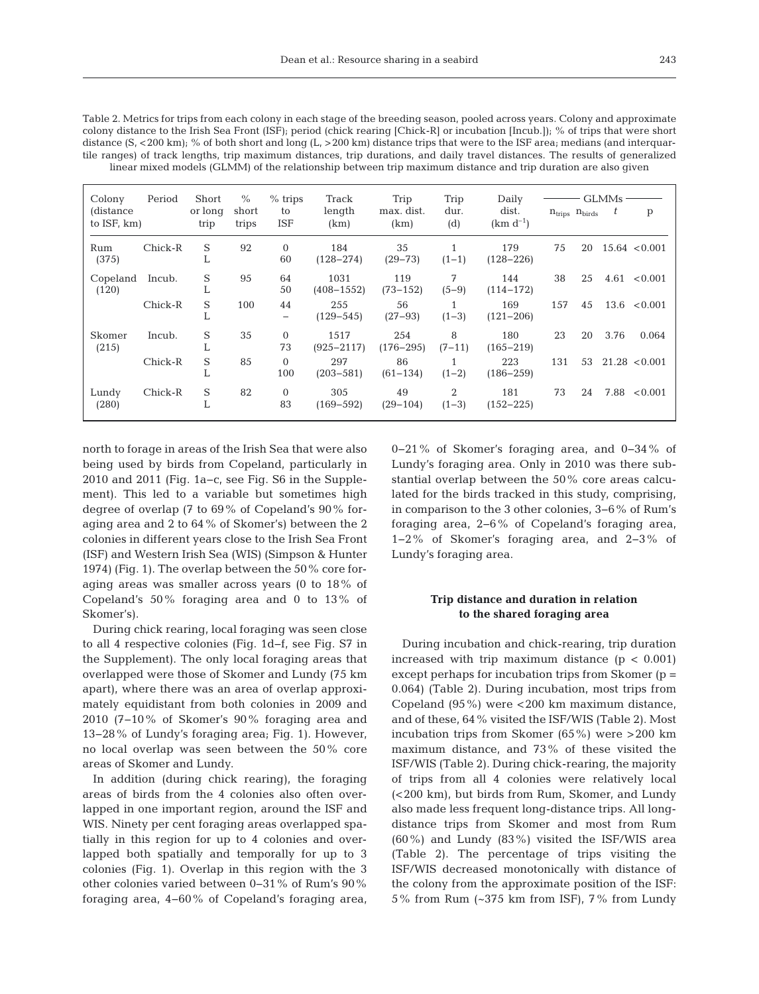| Table 2. Metrics for trips from each colony in each stage of the breeding season, pooled across years. Colony and approximate                       |
|-----------------------------------------------------------------------------------------------------------------------------------------------------|
| colony distance to the Irish Sea Front (ISF); period (chick rearing [Chick-R] or incubation [Incub.]); % of trips that were short                   |
| distance $(S, <200 \text{ km})$ ; % of both short and long $(L, >200 \text{ km})$ distance trips that were to the ISF area; medians (and interguar- |
| tile ranges) of track lengths, trip maximum distances, trip durations, and daily travel distances. The results of generalized                       |
| linear mixed models (GLMM) of the relationship between trip maximum distance and trip duration are also given                                       |

| Colony<br>(distance<br>to ISF, km) | Period  | Short<br>or long<br>trip | $\%$<br>short<br>trips | $%$ trips<br>to<br>ISF         | Track<br>length<br>(km) | Trip<br>max. dist.<br>(km) | Trip<br>dur.<br>(d) | Daily<br>dist.<br>$(km d^{-1})$ | $n_{\text{trips}}$ $n_{\text{birds}}$ |    | <b>GLMMs</b><br>t | p                 |
|------------------------------------|---------|--------------------------|------------------------|--------------------------------|-------------------------|----------------------------|---------------------|---------------------------------|---------------------------------------|----|-------------------|-------------------|
| Rum<br>(375)                       | Chick-R | S<br>L                   | 92                     | $\Omega$<br>60                 | 184<br>$(128 - 274)$    | 35<br>$(29 - 73)$          | $(1-1)$             | 179<br>$(128 - 226)$            | 75                                    | 20 |                   | 15.64 < 0.001     |
| Copeland<br>(120)                  | Incub.  | S<br>L                   | 95                     | 64<br>50                       | 1031<br>$(408 - 1552)$  | 119<br>$(73 - 152)$        | 7<br>$(5-9)$        | 144<br>$(114 - 172)$            | 38                                    | 25 |                   | $4.61 \le 0.001$  |
|                                    | Chick-R | S<br>⊥                   | 100                    | 44<br>$\overline{\phantom{m}}$ | 255<br>$(129 - 545)$    | 56<br>$(27-93)$            | $(1-3)$             | 169<br>$(121 - 206)$            | 157                                   | 45 |                   | $13.6 \le 0.001$  |
| Skomer<br>(215)                    | Incub.  | S<br>⊥                   | 35                     | $\Omega$<br>73                 | 1517<br>$(925 - 2117)$  | 254<br>$(176 - 295)$       | 8<br>$(7-11)$       | 180<br>$(165 - 219)$            | 23                                    | 20 | 3.76              | 0.064             |
|                                    | Chick-R | S<br>⊥                   | 85                     | $\Omega$<br>100                | 297<br>$(203 - 581)$    | 86<br>$(61 - 134)$         | $(1-2)$             | 223<br>$(186 - 259)$            | 131                                   | 53 |                   | $21.28 \le 0.001$ |
| Lundy<br>(280)                     | Chick-R | S<br>ъ.                  | 82                     | $\Omega$<br>83                 | 305<br>$(169 - 592)$    | 49<br>$(29 - 104)$         | 2<br>$(1-3)$        | 181<br>$(152 - 225)$            | 73                                    | 24 |                   | 7.88 < 0.001      |

north to forage in areas of the Irish Sea that were also being used by birds from Copeland, particularly in 2010 and 2011 (Fig. 1a−c, see Fig. S6 in the Supplement). This led to a variable but sometimes high degree of overlap (7 to 69% of Copeland's 90% foraging area and 2 to 64% of Skomer's) between the 2 colonies in different years close to the Irish Sea Front (ISF) and Western Irish Sea (WIS) (Simpson & Hunter 1974) (Fig. 1). The overlap between the 50% core foraging areas was smaller across years (0 to 18% of Copeland's 50% foraging area and 0 to 13% of Skomer's).

During chick rearing, local foraging was seen close to all 4 respective colonies (Fig. 1d−f, see Fig. S7 in the Supplement). The only local foraging areas that overlapped were those of Skomer and Lundy (75 km apart), where there was an area of overlap approximately equidistant from both colonies in 2009 and 2010 (7−10% of Skomer's 90% foraging area and 13−28% of Lundy's foraging area; Fig. 1). However, no local overlap was seen between the 50% core areas of Skomer and Lundy.

In addition (during chick rearing), the foraging areas of birds from the 4 colonies also often overlapped in one important region, around the ISF and WIS. Ninety per cent foraging areas overlapped spatially in this region for up to 4 colonies and overlapped both spatially and temporally for up to 3 colonies (Fig. 1). Overlap in this region with the 3 other colonies varied between 0−31% of Rum's 90% foraging area, 4−60% of Copeland's foraging area, 0−21% of Skomer's foraging area, and 0−34% of Lundy's foraging area. Only in 2010 was there substantial overlap between the 50% core areas calculated for the birds tracked in this study, comprising, in comparison to the 3 other colonies, 3−6% of Rum's foraging area, 2−6% of Copeland's foraging area, 1−2% of Skomer's foraging area, and 2−3% of Lundy's foraging area.

# **Trip distance and duration in relation to the shared foraging area**

During incubation and chick-rearing, trip duration increased with trip maximum distance  $(p < 0.001)$ except perhaps for incubation trips from Skomer (p = 0.064) (Table 2). During incubation, most trips from Copeland  $(95\%)$  were <200 km maximum distance, and of these, 64% visited the ISF/WIS (Table 2). Most incubation trips from Skomer (65%) were >200 km maximum distance, and 73% of these visited the ISF/WIS (Table 2). During chick-rearing, the majority of trips from all 4 colonies were relatively local (<200 km), but birds from Rum, Skomer, and Lundy also made less frequent long-distance trips. All longdistance trips from Skomer and most from Rum (60%) and Lundy (83%) visited the ISF/WIS area (Table 2). The percentage of trips visiting the ISF/WIS decreased monotonically with distance of the colony from the approximate position of the ISF: 5% from Rum (~375 km from ISF), 7% from Lundy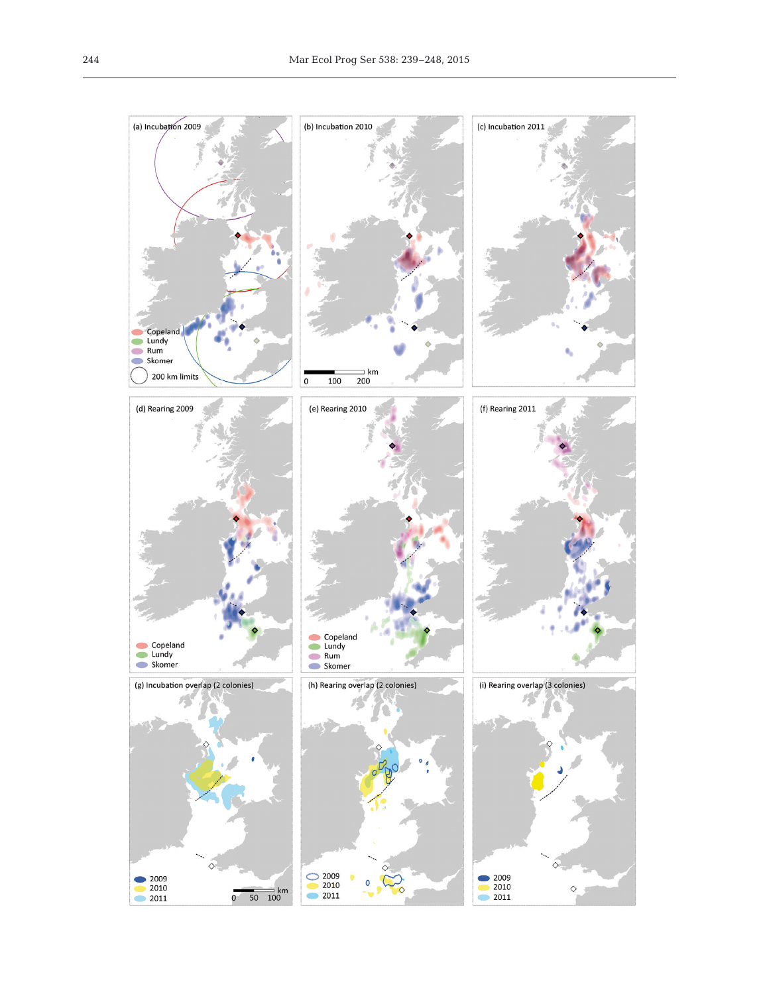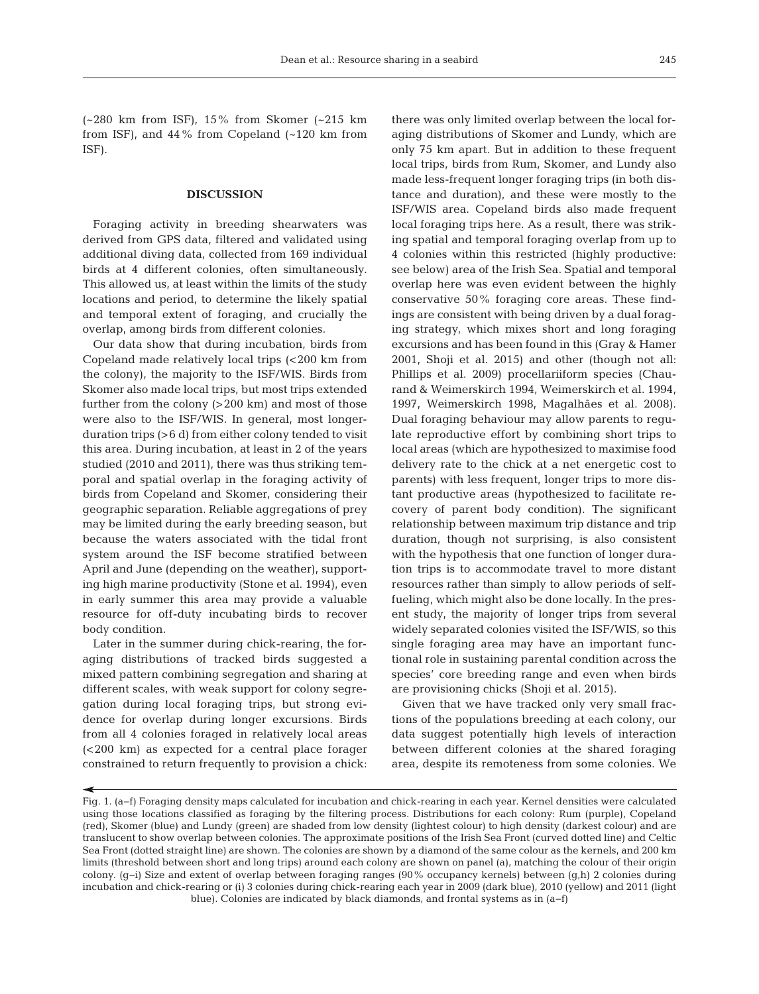(~280 km from ISF), 15% from Skomer (~215 km from ISF), and  $44\%$  from Copeland  $\left(\sim 120 \text{ km from}\right)$ ISF).

## **DISCUSSION**

Foraging activity in breeding shearwaters was derived from GPS data, filtered and validated using additional diving data, collected from 169 individual birds at 4 different colonies, often simultaneously. This allowed us, at least within the limits of the study locations and period, to determine the likely spatial and temporal extent of foraging, and crucially the overlap, among birds from different colonies.

Our data show that during incubation, birds from Copeland made relatively local trips (<200 km from the colony), the majority to the ISF/WIS. Birds from Skomer also made local trips, but most trips extended further from the colony (>200 km) and most of those were also to the ISF/WIS. In general, most longerduration trips (>6 d) from either colony tended to visit this area. During incubation, at least in 2 of the years studied (2010 and 2011), there was thus striking temporal and spatial overlap in the foraging activity of birds from Copeland and Skomer, considering their geographic separation. Reliable aggregations of prey may be limited during the early breeding season, but because the waters associated with the tidal front system around the ISF become stratified between April and June (depending on the weather), supporting high marine productivity (Stone et al. 1994), even in early summer this area may provide a valuable resource for off-duty incubating birds to recover body condition.

Later in the summer during chick-rearing, the foraging distributions of tracked birds suggested a mixed pattern combining segregation and sharing at different scales, with weak support for colony segregation during local foraging trips, but strong evidence for overlap during longer excursions. Birds from all 4 colonies foraged in relatively local areas (<200 km) as expected for a central place forager constrained to return frequently to provision a chick:

there was only limited overlap between the local foraging distributions of Skomer and Lundy, which are only 75 km apart. But in addition to these frequent local trips, birds from Rum, Skomer, and Lundy also made less-frequent longer foraging trips (in both distance and duration), and these were mostly to the ISF/WIS area. Copeland birds also made frequent local foraging trips here. As a result, there was striking spatial and temporal foraging overlap from up to 4 colonies within this restricted (highly productive: see below) area of the Irish Sea. Spatial and temporal overlap here was even evident between the highly conservative 50% foraging core areas. These findings are consistent with being driven by a dual foraging strategy, which mixes short and long foraging excursions and has been found in this (Gray & Hamer 2001, Shoji et al. 2015) and other (though not all: Phillips et al. 2009) procellariiform species (Chaurand & Weimerskirch 1994, Weimerskirch et al. 1994, 1997, Weimerskirch 1998, Magalhães et al. 2008). Dual foraging behaviour may allow parents to regulate reproductive effort by combining short trips to local areas (which are hypothesized to maximise food delivery rate to the chick at a net energetic cost to parents) with less frequent, longer trips to more distant productive areas (hypothesized to facilitate recovery of parent body condition). The significant relationship between maximum trip distance and trip duration, though not surprising, is also consistent with the hypothesis that one function of longer duration trips is to accommodate travel to more distant resources rather than simply to allow periods of selffueling, which might also be done locally. In the present study, the majority of longer trips from several widely separated colonies visited the ISF/WIS, so this single foraging area may have an important functional role in sustaining parental condition across the species' core breeding range and even when birds are provisioning chicks (Shoji et al. 2015).

Given that we have tracked only very small fractions of the populations breeding at each colony, our data suggest potentially high levels of interaction between different colonies at the shared foraging area, despite its remoteness from some colonies. We

Fig. 1. (a−f) Foraging density maps calculated for incubation and chick-rearing in each year. Kernel densities were calculated using those locations classified as foraging by the filtering process. Distributions for each colony: Rum (purple), Copeland (red), Skomer (blue) and Lundy (green) are shaded from low density (lightest colour) to high density (darkest colour) and are translucent to show overlap between colonies. The approximate positions of the Irish Sea Front (curved dotted line) and Celtic Sea Front (dotted straight line) are shown. The colonies are shown by a diamond of the same colour as the kernels, and 200 km limits (threshold between short and long trips) around each colony are shown on panel (a), matching the colour of their origin colony. (g−i) Size and extent of overlap between foraging ranges (90% occupancy kernels) between (g,h) 2 colonies during incubation and chick-rearing or (i) 3 colonies during chick-rearing each year in 2009 (dark blue), 2010 (yellow) and 2011 (light blue). Colonies are indicated by black diamonds, and frontal systems as in (a−f)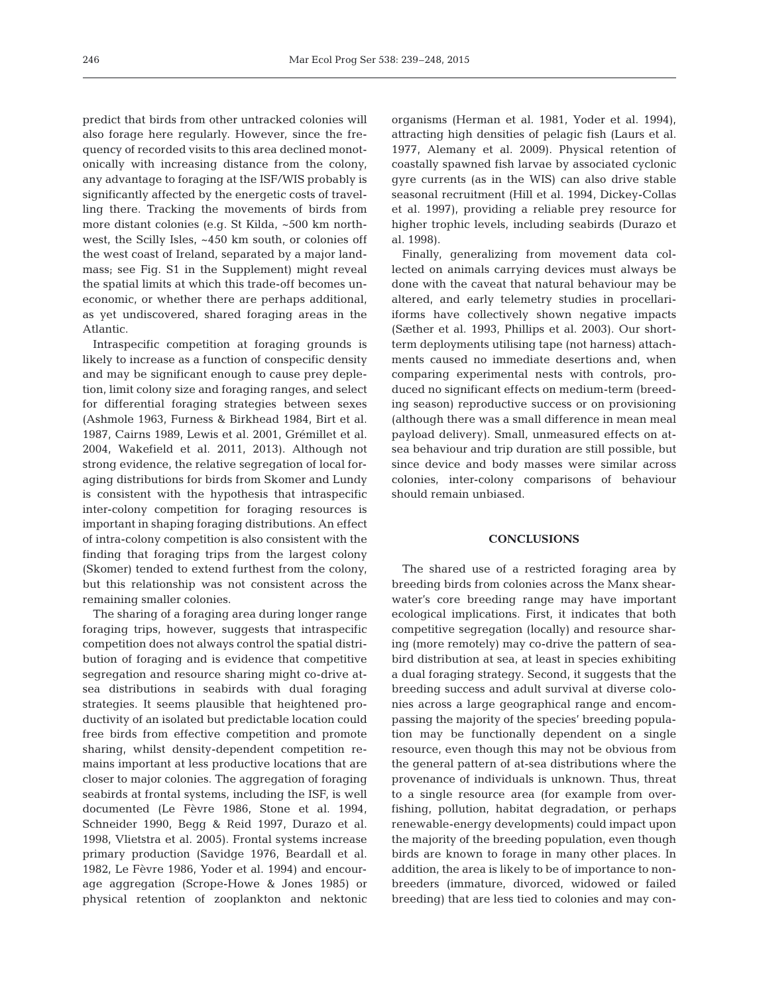predict that birds from other untracked colonies will also forage here regularly. However, since the frequency of recorded visits to this area declined monotonically with increasing distance from the colony, any advantage to foraging at the ISF/WIS probably is significantly affected by the energetic costs of travelling there. Tracking the movements of birds from more distant colonies (e.g. St Kilda, ~500 km northwest, the Scilly Isles, ~450 km south, or colonies off the west coast of Ireland, separated by a major landmass; see Fig. S1 in the Supplement) might reveal the spatial limits at which this trade-off becomes un economic, or whether there are perhaps additional, as yet undiscovered, shared foraging areas in the Atlantic.

Intraspecific competition at foraging grounds is likely to increase as a function of conspecific density and may be significant enough to cause prey depletion, limit colony size and foraging ranges, and select for differential foraging strategies between sexes (Ashmole 1963, Furness & Birkhead 1984, Birt et al. 1987, Cairns 1989, Lewis et al. 2001, Grémillet et al. 2004, Wakefield et al. 2011, 2013). Although not strong evidence, the relative segregation of local foraging distributions for birds from Skomer and Lundy is consistent with the hypothesis that intraspecific inter-colony competition for foraging resources is important in shaping foraging distributions. An effect of intra-colony competition is also consistent with the finding that foraging trips from the largest colony (Skomer) tended to extend furthest from the colony, but this relationship was not consistent across the remaining smaller colonies.

The sharing of a foraging area during longer range foraging trips, however, suggests that intraspecific competition does not always control the spatial distribution of foraging and is evidence that competitive segregation and resource sharing might co-drive atsea distributions in seabirds with dual foraging strategies. It seems plausible that heightened productivity of an isolated but predictable location could free birds from effective competition and promote sharing, whilst density-dependent competition re mains important at less productive locations that are closer to major colonies. The aggregation of foraging seabirds at frontal systems, including the ISF, is well documented (Le Fèvre 1986, Stone et al. 1994, Schneider 1990, Begg & Reid 1997, Durazo et al. 1998, Vlietstra et al. 2005). Frontal systems increase primary production (Savidge 1976, Beardall et al. 1982, Le Fèvre 1986, Yoder et al. 1994) and encourage aggregation (Scrope-Howe & Jones 1985) or physical retention of zooplankton and nektonic

organisms (Herman et al. 1981, Yoder et al. 1994), attracting high densities of pelagic fish (Laurs et al. 1977, Alemany et al. 2009). Physical retention of coastally spawned fish larvae by associated cyclonic gyre currents (as in the WIS) can also drive stable seasonal recruitment (Hill et al. 1994, Dickey-Collas et al. 1997), providing a reliable prey resource for higher trophic levels, including seabirds (Durazo et al. 1998).

Finally, generalizing from movement data collected on animals carrying devices must always be done with the caveat that natural behaviour may be altered, and early telemetry studies in procellariiforms have collectively shown negative impacts (Sæther et al. 1993, Phillips et al. 2003). Our shortterm deployments utilising tape (not harness) attachments caused no immediate desertions and, when comparing experimental nests with controls, produced no significant effects on medium-term (breeding season) reproductive success or on provisioning (although there was a small difference in mean meal payload delivery). Small, unmeasured effects on atsea behaviour and trip duration are still possible, but since device and body masses were similar across colonies, inter-colony comparisons of behaviour should remain unbiased.

#### **CONCLUSIONS**

The shared use of a restricted foraging area by breeding birds from colonies across the Manx shearwater's core breeding range may have important ecological implications. First, it indicates that both competitive segregation (locally) and resource sharing (more remotely) may co-drive the pattern of seabird distribution at sea, at least in species exhibiting a dual foraging strategy. Second, it suggests that the breeding success and adult survival at diverse colo nies across a large geographical range and encompassing the majority of the species' breeding population may be functionally dependent on a single resource, even though this may not be obvious from the general pattern of at-sea distributions where the provenance of individuals is unknown. Thus, threat to a single resource area (for example from overfishing, pollution, habitat degradation, or perhaps renewable-energy developments) could impact upon the majority of the breeding population, even though birds are known to forage in many other places. In addition, the area is likely to be of importance to nonbreeders (immature, divorced, widowed or failed breeding) that are less tied to colonies and may con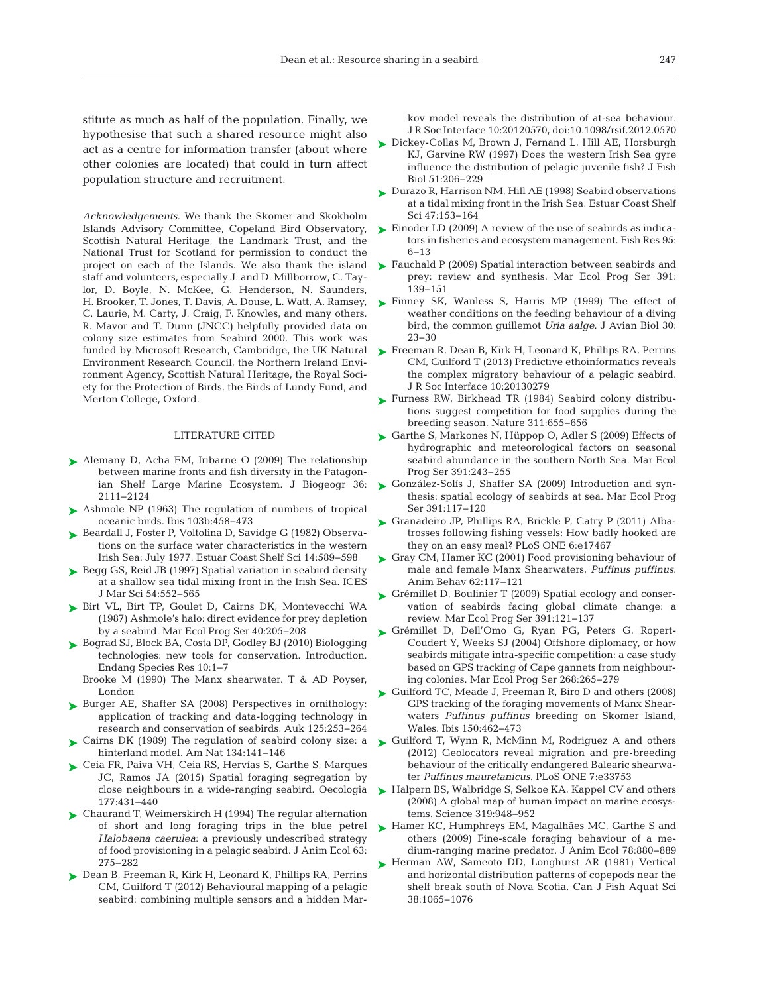stitute as much as half of the population. Finally, we hypothesise that such a shared resource might also act as a centre for information transfer (about where other colonies are located) that could in turn affect population structure and recruitment.

*Acknowledgements*. We thank the Skomer and Skokholm Islands Advisory Committee, Copeland Bird Observatory, Scottish Natural Heritage, the Landmark Trust, and the National Trust for Scotland for permission to conduct the staff and volunteers, especially J. and D. Millborrow, C. Taylor, D. Boyle, N. McKee, G. Henderson, N. Saunders, H. Brooker, T. Jones, T. Davis, A. Douse, L. Watt, A. Ramsey, C. Laurie, M. Carty, J. Craig, F. Knowles, and many others. R. Mavor and T. Dunn (JNCC) helpfully provided data on colony size estimates from Seabird 2000. This work was Environment Research Council, the Northern Ireland Environment Agency, Scottish Natural Heritage, the Royal Society for the Protection of Birds, the Birds of Lundy Fund, and Merton College, Oxford.

## LITERATURE CITED

- ▶ [Alemany D, Acha EM, Iribarne O \(2009\) The relationship](http://dx.doi.org/10.1111/j.1365-2699.2009.02148.x) between marine fronts and fish diversity in the Patagonian Shelf Large Marine Ecosystem. J Biogeogr 36: 2111−2124
- ▶ [Ashmole NP \(1963\) The regulation of numbers of tropical](http://dx.doi.org/10.1111/j.1474-919X.1963.tb06766.x) oceanic birds. Ibis 103b: 458−473
- ▶ [Beardall J, Foster P, Voltolina D, Savidge G \(1982\) Observa](http://dx.doi.org/10.1016/S0302-3524(82)80001-7)tions on the surface water characteristics in the western Irish Sea: July 1977. Estuar Coast Shelf Sci 14: 589−598
- ► [Begg GS, Reid JB \(1997\) Spatial variation in seabird density](http://dx.doi.org/10.1006/jmsc.1997.0259) at a shallow sea tidal mixing front in the Irish Sea. ICES J Mar Sci 54: 552−565
- ▶ [Birt VL, Birt TP, Goulet D, Cairns DK, Montevecchi WA](http://dx.doi.org/10.3354/meps040205) (1987) Ashmole's halo:direct evidence for prey depletion by a seabird. Mar Ecol Prog Ser 40: 205−208
- ► [Bograd SJ, Block BA, Costa DP, Godley BJ \(2010\) Biologging](http://dx.doi.org/10.3354/esr00269) technologies: new tools for conservation. Introduction. Endang Species Res 10: 1−7
	- Brooke M (1990) The Manx shearwater. T & AD Poyser, London
- ▶ Burger AE, Shaffer SA (2008) Perspectives in ornithology: application of tracking and data-logging technology in research and conservation of seabirds. Auk 125:253-264
- [Cairns DK \(1989\) The regulation of seabird colony size: a](http://dx.doi.org/10.1086/284970) ➤ hinterland model. Am Nat 134: 141−146
- [Ceia FR, Paiva VH, Ceia RS, Hervías S, Garthe S, Marques](http://dx.doi.org/10.1007/s00442-014-3109-1) ➤ JC, Ramos JA (2015) Spatial foraging segregation by close neighbours in a wide-ranging seabird. Oecologia 177: 431−440
- ► [Chaurand T, Weimerskirch H \(1994\) The regular alternation](http://dx.doi.org/10.2307/5546) of short and long foraging trips in the blue petrel Halobaena caerulea: a previously undescribed strategy of food provisioning in a pelagic seabird. J Anim Ecol 63: 275−282
- ► [Dean B, Freeman R, Kirk H, Leonard K, Phillips RA, Perrins](http://dx.doi.org/10.1098/rsif.2012.0570) CM, Guilford T (2012) Behavioural mapping of a pelagic seabird: combining multiple sensors and a hidden Mar-

kov model reveals the distribution of at-sea behaviour. J R Soc Interface 10:20120570, doi:10.1098/rsif.2012.0570

- [Dickey-Collas M, Brown J, Fernand L, Hill AE, Horsburgh](http://dx.doi.org/10.1111/j.1095-8649.1997.tb06100.x) ➤ KJ, Garvine RW (1997) Does the western Irish Sea gyre influence the distribution of pelagic juvenile fish? J Fish Biol 51:206-229
- ► [Durazo R, Harrison NM, Hill AE \(1998\) Seabird observations](http://dx.doi.org/10.1006/ecss.1998.0339) at a tidal mixing front in the Irish Sea. Estuar Coast Shelf Sci 47: 153−164
- ► [Einoder LD \(2009\) A review of the use of seabirds as indica](http://dx.doi.org/10.1016/j.fishres.2008.09.024)tors in fisheries and ecosystem management. Fish Res 95: 6−13
- project on each of the Islands. We also thank the island  $\triangleright$  [Fauchald P \(2009\) Spatial interaction between seabirds and](http://dx.doi.org/10.3354/meps07818) prey: review and synthesis. Mar Ecol Prog Ser 391: 139−151
	- ▶ [Finney SK, Wanless S, Harris MP \(1999\) The effect of](http://dx.doi.org/10.2307/3677239) weather conditions on the feeding behaviour of a diving bird, the common guillemot *Uria aalge*. J Avian Biol 30: 23−30
- funded by Microsoft Research, Cambridge, the UK Natural  $\quadblacktriangleright$  [Freeman R, Dean B, Kirk H, Leonard K, Phillips RA, Perrins](http://dx.doi.org/10.1098/rsif.2013.0279) CM, Guilford T (2013) Predictive ethoinformatics reveals the complex migratory behaviour of a pelagic seabird. J R Soc Interface 10: 20130279
	- ▶ [Furness RW, Birkhead TR \(1984\) Seabird colony distribu](http://dx.doi.org/10.1038/311655a0)tions suggest competition for food supplies during the breeding season. Nature 311:655-656
	- ► [Garthe S, Markones N, Hüppop O, Adler S \(2009\) Effects of](http://dx.doi.org/10.3354/meps08170) hydrographic and meteorological factors on seasonal seabird abundance in the southern North Sea. Mar Ecol Prog Ser 391:243-255
	- ► [González-Solís J, Shaffer SA \(2009\) Introduction and syn](http://dx.doi.org/10.3354/meps08282)thesis: spatial ecology of seabirds at sea. Mar Ecol Prog Ser 391: 117−120
	- ► [Granadeiro JP, Phillips RA, Brickle P, Catry P \(2011\) Alba](http://dx.doi.org/10.1371/journal.pone.0017467)trosses following fishing vessels: How badly hooked are they on an easy meal? PLoS ONE 6:e17467
	- ► [Gray CM, Hamer KC \(2001\) Food provisioning behaviour of](http://dx.doi.org/10.1006/anbe.2001.1717) male and female Manx Shearwaters, *Puffinus puffinus*. Anim Behav 62: 117−121
	- ► [Grémillet D, Boulinier T \(2009\) Spatial ecology and conser](http://dx.doi.org/10.3354/meps08212)vation of seabirds facing global climate change: a review. Mar Ecol Prog Ser 391: 121−137
	- [Grémillet D, Dell'Omo G, Ryan PG, Peters G, Ropert-](http://dx.doi.org/10.3354/meps268265)➤ Coudert Y, Weeks SJ (2004) Offshore diplomacy, or how seabirds mitigate intra-specific competition: a case study based on GPS tracking of Cape gannets from neighbouring colonies. Mar Ecol Prog Ser 268: 265−279
	- ► [Guilford TC, Meade J, Freeman R, Biro D and others \(2008\)](http://dx.doi.org/10.1111/j.1474-919X.2008.00805.x) GPS tracking of the foraging movements of Manx Shearwaters *Puffinus puffinus* breeding on Skomer Island, Wales. Ibis 150:462-473
	- ► [Guilford T, Wynn R, McMinn M, Rodriguez A and others](http://dx.doi.org/10.1371/journal.pone.0033753) (2012) Geolocators reveal migration and pre-breeding behaviour of the critically endangered Balearic shearwater *Puffinus mauretanicus*. PLoS ONE 7: e33753
	- ► [Halpern BS, Walbridge S, Selkoe KA, Kappel CV and others](http://dx.doi.org/10.1126/science.1149345) (2008) A global map of human impact on marine ecosystems. Science 319: 948−952
	- ► [Hamer KC, Humphreys EM, Magalhães MC, Garthe S and](http://dx.doi.org/10.1111/j.1365-2656.2009.01549.x) others (2009) Fine-scale foraging behaviour of a me dium-ranging marine predator. J Anim Ecol 78: 880−889
	- ▶ [Herman AW, Sameoto DD, Longhurst AR \(1981\) Vertical](http://dx.doi.org/10.1139/f81-147) and horizontal distribution patterns of copepods near the shelf break south of Nova Scotia. Can J Fish Aquat Sci 38: 1065−1076